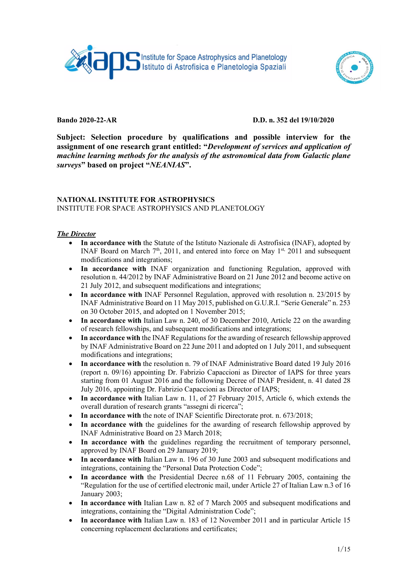



## Bando 2020-22-AR D.D. n. 352 del 19/10/2020

Subject: Selection procedure by qualifications and possible interview for the assignment of one research grant entitled: "Development of services and application of machine learning methods for the analysis of the astronomical data from Galactic plane surveys" based on project "NEANIAS".

#### NATIONAL INSTITUTE FOR ASTROPHYSICS INSTITUTE FOR SPACE ASTROPHYSICS AND PLANETOLOGY

### The Director

- In accordance with the Statute of the Istituto Nazionale di Astrofisica (INAF), adopted by INAF Board on March  $7<sup>th</sup>$ , 2011, and entered into force on May  $1<sup>st</sup>$ , 2011 and subsequent modifications and integrations;
- In accordance with INAF organization and functioning Regulation, approved with resolution n. 44/2012 by INAF Administrative Board on 21 June 2012 and become active on 21 July 2012, and subsequent modifications and integrations;
- In accordance with INAF Personnel Regulation, approved with resolution n. 23/2015 by INAF Administrative Board on 11 May 2015, published on G.U.R.I. "Serie Generale" n. 253 on 30 October 2015, and adopted on 1 November 2015;
- In accordance with Italian Law n. 240, of 30 December 2010, Article 22 on the awarding of research fellowships, and subsequent modifications and integrations;
- In accordance with the INAF Regulations for the awarding of research fellowship approved by INAF Administrative Board on 22 June 2011 and adopted on 1 July 2011, and subsequent modifications and integrations;
- In accordance with the resolution n. 79 of INAF Administrative Board dated 19 July 2016 (report n. 09/16) appointing Dr. Fabrizio Capaccioni as Director of IAPS for three years starting from 01 August 2016 and the following Decree of INAF President, n. 41 dated 28 July 2016, appointing Dr. Fabrizio Capaccioni as Director of IAPS;
- $\bullet$  In accordance with Italian Law n. 11, of 27 February 2015, Article 6, which extends the overall duration of research grants "assegni di ricerca";
- In accordance with the note of INAF Scientific Directorate prot. n. 673/2018;
- In accordance with the guidelines for the awarding of research fellowship approved by INAF Administrative Board on 23 March 2018;
- In accordance with the guidelines regarding the recruitment of temporary personnel, approved by INAF Board on 29 January 2019;
- In accordance with Italian Law n. 196 of 30 June 2003 and subsequent modifications and integrations, containing the "Personal Data Protection Code";
- In accordance with the Presidential Decree n.68 of 11 February 2005, containing the "Regulation for the use of certified electronic mail, under Article 27 of Italian Law n.3 of 16 January 2003;
- In accordance with Italian Law n. 82 of 7 March 2005 and subsequent modifications and integrations, containing the "Digital Administration Code";
- In accordance with Italian Law n. 183 of 12 November 2011 and in particular Article 15 concerning replacement declarations and certificates;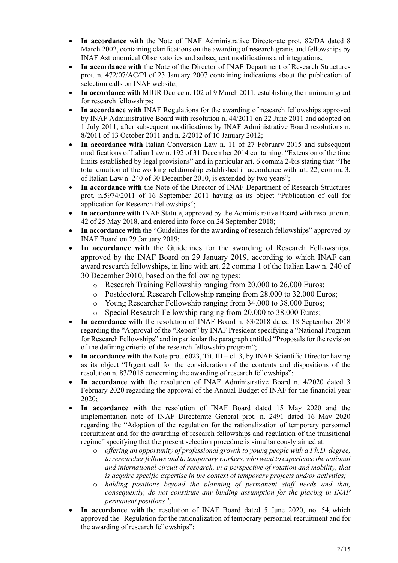- In accordance with the Note of INAF Administrative Directorate prot. 82/DA dated 8 March 2002, containing clarifications on the awarding of research grants and fellowships by INAF Astronomical Observatories and subsequent modifications and integrations;
- In accordance with the Note of the Director of INAF Department of Research Structures prot. n. 472/07/AC/PI of 23 January 2007 containing indications about the publication of selection calls on INAF website;
- In accordance with MIUR Decree n. 102 of 9 March 2011, establishing the minimum grant for research fellowships;
- In accordance with INAF Regulations for the awarding of research fellowships approved by INAF Administrative Board with resolution n. 44/2011 on 22 June 2011 and adopted on 1 July 2011, after subsequent modifications by INAF Administrative Board resolutions n. 8/2011 of 13 October 2011 and n. 2/2012 of 10 January 2012;
- In accordance with Italian Conversion Law n. 11 of 27 February 2015 and subsequent modifications of Italian Law n. 192 of 31 December 2014 containing: "Extension of the time limits established by legal provisions" and in particular art. 6 comma 2-bis stating that "The total duration of the working relationship established in accordance with art. 22, comma 3, of Italian Law n. 240 of 30 December 2010, is extended by two years";
- In accordance with the Note of the Director of INAF Department of Research Structures prot. n.5974/2011 of 16 September 2011 having as its object "Publication of call for application for Research Fellowships";
- In accordance with INAF Statute, approved by the Administrative Board with resolution n. 42 of 25 May 2018, and entered into force on 24 September 2018;
- In accordance with the "Guidelines for the awarding of research fellowships" approved by INAF Board on 29 January 2019;
- In accordance with the Guidelines for the awarding of Research Fellowships, approved by the INAF Board on 29 January 2019, according to which INAF can award research fellowships, in line with art. 22 comma 1 of the Italian Law n. 240 of 30 December 2010, based on the following types:
	- o Research Training Fellowship ranging from 20.000 to 26.000 Euros;
	- o Postdoctoral Research Fellowship ranging from 28.000 to 32.000 Euros;
	- o Young Researcher Fellowship ranging from 34.000 to 38.000 Euros;
	- o Special Research Fellowship ranging from 20.000 to 38.000 Euros;
- In accordance with the resolution of INAF Board n. 83/2018 dated 18 September 2018 regarding the "Approval of the "Report" by INAF President specifying a "National Program for Research Fellowships" and in particular the paragraph entitled "Proposals for the revision of the defining criteria of the research fellowship program";
- In accordance with the Note prot.  $6023$ , Tit. III cl. 3, by INAF Scientific Director having as its object "Urgent call for the consideration of the contents and dispositions of the resolution n. 83/2018 concerning the awarding of research fellowships";
- In accordance with the resolution of INAF Administrative Board n. 4/2020 dated 3 February 2020 regarding the approval of the Annual Budget of INAF for the financial year 2020;
- In accordance with the resolution of INAF Board dated 15 May 2020 and the implementation note of INAF Directorate General prot. n. 2491 dated 16 May 2020 regarding the "Adoption of the regulation for the rationalization of temporary personnel recruitment and for the awarding of research fellowships and regulation of the transitional regime" specifying that the present selection procedure is simultaneously aimed at:
	- $\circ$  offering an opportunity of professional growth to young people with a Ph.D. degree, to researcher fellows and to temporary workers, who want to experience the national and international circuit of research, in a perspective of rotation and mobility, that is acquire specific expertise in the context of temporary projects and/or activities;
	- o holding positions beyond the planning of permanent staff needs and that, consequently, do not constitute any binding assumption for the placing in INAF permanent positions";
- In accordance with the resolution of INAF Board dated 5 June 2020, no. 54, which approved the "Regulation for the rationalization of temporary personnel recruitment and for the awarding of research fellowships";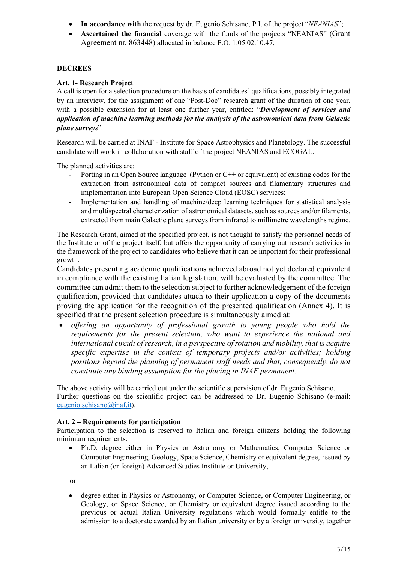- In accordance with the request by dr. Eugenio Schisano, P.I. of the project "NEANIAS";
- Ascertained the financial coverage with the funds of the projects "NEANIAS" (Grant Agreement nr. 863448) allocated in balance F.O. 1.05.02.10.47;

# **DECREES**

# Art. 1- Research Project

A call is open for a selection procedure on the basis of candidates' qualifications, possibly integrated by an interview, for the assignment of one "Post-Doc" research grant of the duration of one year, with a possible extension for at least one further year, entitled: "Development of services and application of machine learning methods for the analysis of the astronomical data from Galactic plane surveys".

Research will be carried at INAF - Institute for Space Astrophysics and Planetology. The successful candidate will work in collaboration with staff of the project NEANIAS and ECOGAL.

The planned activities are:

- Porting in an Open Source language (Python or C++ or equivalent) of existing codes for the extraction from astronomical data of compact sources and filamentary structures and implementation into European Open Science Cloud (EOSC) services;
- Implementation and handling of machine/deep learning techniques for statistical analysis and multispectral characterization of astronomical datasets, such as sources and/or filaments, extracted from main Galactic plane surveys from infrared to millimetre wavelengths regime.

The Research Grant, aimed at the specified project, is not thought to satisfy the personnel needs of the Institute or of the project itself, but offers the opportunity of carrying out research activities in the framework of the project to candidates who believe that it can be important for their professional growth.

Candidates presenting academic qualifications achieved abroad not yet declared equivalent in compliance with the existing Italian legislation, will be evaluated by the committee. The committee can admit them to the selection subject to further acknowledgement of the foreign qualification, provided that candidates attach to their application a copy of the documents proving the application for the recognition of the presented qualification (Annex 4). It is specified that the present selection procedure is simultaneously aimed at:

 offering an opportunity of professional growth to young people who hold the requirements for the present selection, who want to experience the national and international circuit of research, in a perspective of rotation and mobility, that is acquire specific expertise in the context of temporary projects and/or activities; holding positions beyond the planning of permanent staff needs and that, consequently, do not constitute any binding assumption for the placing in INAF permanent.

The above activity will be carried out under the scientific supervision of dr. Eugenio Schisano. Further questions on the scientific project can be addressed to Dr. Eugenio Schisano (e-mail: eugenio.schisano@inaf.it).

# Art. 2 – Requirements for participation

Participation to the selection is reserved to Italian and foreign citizens holding the following minimum requirements:

 Ph.D. degree either in Physics or Astronomy or Mathematics, Computer Science or Computer Engineering, Geology, Space Science, Chemistry or equivalent degree, issued by an Italian (or foreign) Advanced Studies Institute or University,

or

 degree either in Physics or Astronomy, or Computer Science, or Computer Engineering, or Geology, or Space Science, or Chemistry or equivalent degree issued according to the previous or actual Italian University regulations which would formally entitle to the admission to a doctorate awarded by an Italian university or by a foreign university, together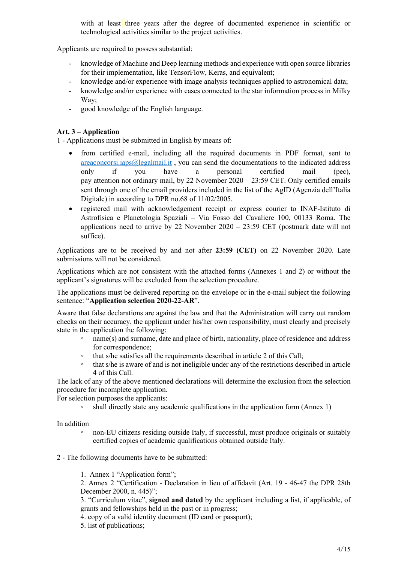with at least three years after the degree of documented experience in scientific or technological activities similar to the project activities.

Applicants are required to possess substantial:

- knowledge of Machine and Deep learning methods and experience with open source libraries for their implementation, like TensorFlow, Keras, and equivalent;
- knowledge and/or experience with image analysis techniques applied to astronomical data;
- knowledge and/or experience with cases connected to the star information process in Milky Way;
- good knowledge of the English language.

# Art. 3 – Application

1 - Applications must be submitted in English by means of:

- from certified e-mail, including all the required documents in PDF format, sent to areaconcorsi.iaps@legalmail.it , you can send the documentations to the indicated address only if you have a personal certified mail (pec), pay attention not ordinary mail, by 22 November 2020 – 23:59 CET. Only certified emails sent through one of the email providers included in the list of the AgID (Agenzia dell'Italia Digitale) in according to DPR no.68 of 11/02/2005.
- registered mail with acknowledgement receipt or express courier to INAF-Istituto di Astrofisica e Planetologia Spaziali – Via Fosso del Cavaliere 100, 00133 Roma. The applications need to arrive by 22 November  $2020 - 23:59$  CET (postmark date will not suffice).

Applications are to be received by and not after 23:59 (CET) on 22 November 2020. Late submissions will not be considered.

Applications which are not consistent with the attached forms (Annexes 1 and 2) or without the applicant's signatures will be excluded from the selection procedure.

The applications must be delivered reporting on the envelope or in the e-mail subject the following sentence: "Application selection 2020-22-AR".

Aware that false declarations are against the law and that the Administration will carry out random checks on their accuracy, the applicant under his/her own responsibility, must clearly and precisely state in the application the following:

- name(s) and surname, date and place of birth, nationality, place of residence and address for correspondence;
- that s/he satisfies all the requirements described in article 2 of this Call;
- that s/he is aware of and is not ineligible under any of the restrictions described in article 4 of this Call.

The lack of any of the above mentioned declarations will determine the exclusion from the selection procedure for incomplete application.

For selection purposes the applicants:

shall directly state any academic qualifications in the application form (Annex 1)

In addition

◦ non-EU citizens residing outside Italy, if successful, must produce originals or suitably certified copies of academic qualifications obtained outside Italy.

2 - The following documents have to be submitted:

1. Annex 1 "Application form";

2. Annex 2 "Certification - Declaration in lieu of affidavit (Art. 19 - 46-47 the DPR 28th December 2000, n. 445)";

3. "Curriculum vitae", signed and dated by the applicant including a list, if applicable, of grants and fellowships held in the past or in progress;

4. copy of a valid identity document (ID card or passport);

5. list of publications;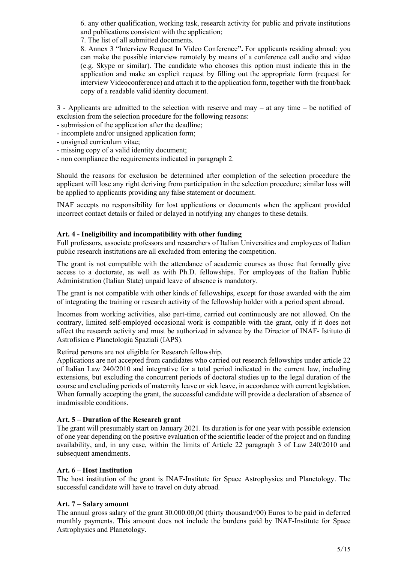6. any other qualification, working task, research activity for public and private institutions and publications consistent with the application;

7. The list of all submitted documents.

 8. Annex 3 "Interview Request In Video Conference". For applicants residing abroad: you can make the possible interview remotely by means of a conference call audio and video (e.g. Skype or similar). The candidate who chooses this option must indicate this in the application and make an explicit request by filling out the appropriate form (request for interview Videoconference) and attach it to the application form, together with the front/back copy of a readable valid identity document.

3 - Applicants are admitted to the selection with reserve and may – at any time – be notified of exclusion from the selection procedure for the following reasons:

- submission of the application after the deadline;
- incomplete and/or unsigned application form;
- unsigned curriculum vitae;
- missing copy of a valid identity document;
- non compliance the requirements indicated in paragraph 2.

Should the reasons for exclusion be determined after completion of the selection procedure the applicant will lose any right deriving from participation in the selection procedure; similar loss will be applied to applicants providing any false statement or document.

INAF accepts no responsibility for lost applications or documents when the applicant provided incorrect contact details or failed or delayed in notifying any changes to these details.

### Art. 4 - Ineligibility and incompatibility with other funding

Full professors, associate professors and researchers of Italian Universities and employees of Italian public research institutions are all excluded from entering the competition.

The grant is not compatible with the attendance of academic courses as those that formally give access to a doctorate, as well as with Ph.D. fellowships. For employees of the Italian Public Administration (Italian State) unpaid leave of absence is mandatory.

The grant is not compatible with other kinds of fellowships, except for those awarded with the aim of integrating the training or research activity of the fellowship holder with a period spent abroad.

Incomes from working activities, also part-time, carried out continuously are not allowed. On the contrary, limited self-employed occasional work is compatible with the grant, only if it does not affect the research activity and must be authorized in advance by the Director of INAF- Istituto di Astrofisica e Planetologia Spaziali (IAPS).

Retired persons are not eligible for Research fellowship.

Applications are not accepted from candidates who carried out research fellowships under article 22 of Italian Law 240/2010 and integrative for a total period indicated in the current law, including extensions, but excluding the concurrent periods of doctoral studies up to the legal duration of the course and excluding periods of maternity leave or sick leave, in accordance with current legislation. When formally accepting the grant, the successful candidate will provide a declaration of absence of inadmissible conditions.

#### Art. 5 – Duration of the Research grant

The grant will presumably start on January 2021. Its duration is for one year with possible extension of one year depending on the positive evaluation of the scientific leader of the project and on funding availability, and, in any case, within the limits of Article 22 paragraph 3 of Law 240/2010 and subsequent amendments.

#### Art. 6 – Host Institution

The host institution of the grant is INAF-Institute for Space Astrophysics and Planetology. The successful candidate will have to travel on duty abroad.

#### Art. 7 – Salary amount

The annual gross salary of the grant 30.000.00,00 (thirty thousand//00) Euros to be paid in deferred monthly payments. This amount does not include the burdens paid by INAF-Institute for Space Astrophysics and Planetology.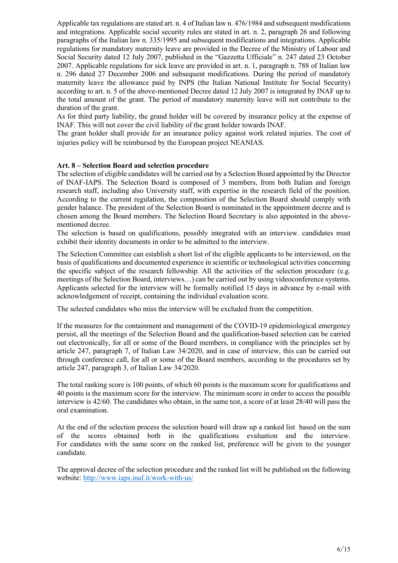Applicable tax regulations are stated art. n. 4 of Italian law n. 476/1984 and subsequent modifications and integrations. Applicable social security rules are stated in art. n. 2, paragraph 26 and following paragraphs of the Italian law n. 335/1995 and subsequent modifications and integrations. Applicable regulations for mandatory maternity leave are provided in the Decree of the Ministry of Labour and Social Security dated 12 July 2007, published in the "Gazzetta Ufficiale" n. 247 dated 23 October 2007. Applicable regulations for sick leave are provided in art. n. 1, paragraph n. 788 of Italian law n. 296 dated 27 December 2006 and subsequent modifications. During the period of mandatory maternity leave the allowance paid by INPS (the Italian National Institute for Social Security) according to art. n. 5 of the above-mentioned Decree dated 12 July 2007 is integrated by INAF up to the total amount of the grant. The period of mandatory maternity leave will not contribute to the duration of the grant.

As for third party liability, the grand holder will be covered by insurance policy at the expense of INAF. This will not cover the civil liability of the grant holder towards INAF.

The grant holder shall provide for an insurance policy against work related injuries. The cost of injuries policy will be reimbursed by the European project NEANIAS.

#### Art. 8 – Selection Board and selection procedure

The selection of eligible candidates will be carried out by a Selection Board appointed by the Director of INAF-IAPS. The Selection Board is composed of 3 members, from both Italian and foreign research staff, including also University staff, with expertise in the research field of the position. According to the current regulation, the composition of the Selection Board should comply with gender balance. The president of the Selection Board is nominated in the appointment decree and is chosen among the Board members. The Selection Board Secretary is also appointed in the abovementioned decree.

The selection is based on qualifications, possibly integrated with an interview. candidates must exhibit their identity documents in order to be admitted to the interview.

The Selection Committee can establish a short list of the eligible applicants to be interviewed, on the basis of qualifications and documented experience in scientific or technological activities concerning the specific subject of the research fellowship. All the activities of the selection procedure (e.g. meetings of the Selection Board, interviews…) can be carried out by using videoconference systems. Applicants selected for the interview will be formally notified 15 days in advance by e-mail with acknowledgement of receipt, containing the individual evaluation score.

The selected candidates who miss the interview will be excluded from the competition.

If the measures for the containment and management of the COVID-19 epidemiological emergency persist, all the meetings of the Selection Board and the qualification-based selection can be carried out electronically, for all or some of the Board members, in compliance with the principles set by article 247, paragraph 7, of Italian Law 34/2020, and in case of interview, this can be carried out through conference call, for all or some of the Board members, according to the procedures set by article 247, paragraph 3, of Italian Law 34/2020.

The total ranking score is 100 points, of which 60 points is the maximum score for qualifications and 40 points is the maximum score for the interview. The minimum score in order to access the possible interview is 42/60. The candidates who obtain, in the same test, a score of at least 28/40 will pass the oral examination.

At the end of the selection process the selection board will draw up a ranked list based on the sum of the scores obtained both in the qualifications evaluation and the interview. For candidates with the same score on the ranked list, preference will be given to the younger candidate.

The approval decree of the selection procedure and the ranked list will be published on the following website: http://www.iaps.inaf.it/work-with-us/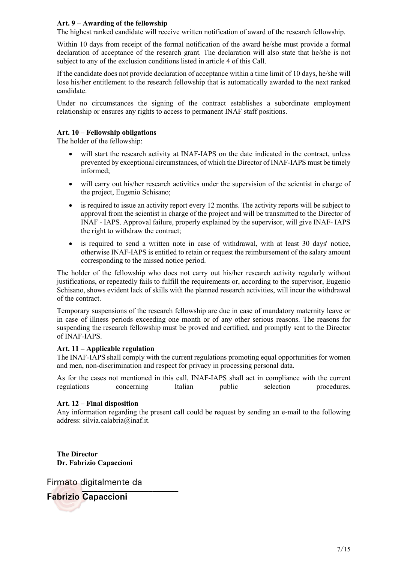# Art. 9 – Awarding of the fellowship

The highest ranked candidate will receive written notification of award of the research fellowship.

Within 10 days from receipt of the formal notification of the award he/she must provide a formal declaration of acceptance of the research grant. The declaration will also state that he/she is not subject to any of the exclusion conditions listed in article 4 of this Call.

If the candidate does not provide declaration of acceptance within a time limit of 10 days, he/she will lose his/her entitlement to the research fellowship that is automatically awarded to the next ranked candidate.

Under no circumstances the signing of the contract establishes a subordinate employment relationship or ensures any rights to access to permanent INAF staff positions.

### Art. 10 – Fellowship obligations

The holder of the fellowship:

- will start the research activity at INAF-IAPS on the date indicated in the contract, unless prevented by exceptional circumstances, of which the Director of INAF-IAPS must be timely informed;
- will carry out his/her research activities under the supervision of the scientist in charge of the project, Eugenio Schisano;
- is required to issue an activity report every 12 months. The activity reports will be subject to approval from the scientist in charge of the project and will be transmitted to the Director of INAF - IAPS. Approval failure, properly explained by the supervisor, will give INAF- IAPS the right to withdraw the contract;
- is required to send a written note in case of withdrawal, with at least 30 days' notice, otherwise INAF-IAPS is entitled to retain or request the reimbursement of the salary amount corresponding to the missed notice period.

The holder of the fellowship who does not carry out his/her research activity regularly without justifications, or repeatedly fails to fulfill the requirements or, according to the supervisor, Eugenio Schisano, shows evident lack of skills with the planned research activities, will incur the withdrawal of the contract.

Temporary suspensions of the research fellowship are due in case of mandatory maternity leave or in case of illness periods exceeding one month or of any other serious reasons. The reasons for suspending the research fellowship must be proved and certified, and promptly sent to the Director of INAF-IAPS.

#### Art. 11 – Applicable regulation

The INAF-IAPS shall comply with the current regulations promoting equal opportunities for women and men, non-discrimination and respect for privacy in processing personal data.

As for the cases not mentioned in this call, INAF-IAPS shall act in compliance with the current regulations concerning Italian public selection procedures.

#### Art. 12 – Final disposition

Any information regarding the present call could be request by sending an e-mail to the following address: silvia.calabria@inaf.it.

The Director Dr. Fabrizio Capaccioni

Firmato digitalmente da

**Fabrizio Capaccioni**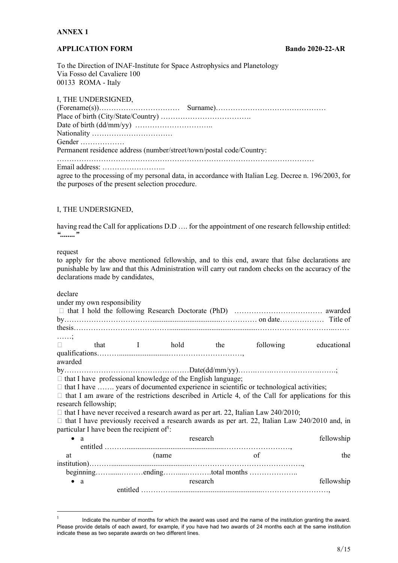# ANNEX 1

### APPLICATION FORM Bando 2020-22-AR

To the Direction of INAF-Institute for Space Astrophysics and Planetology Via Fosso del Cavaliere 100 00133 ROMA - Italy

|  |  | I, THE UNDERSIGNED, |
|--|--|---------------------|
|--|--|---------------------|

| Gender                                                               |                                                                                               |
|----------------------------------------------------------------------|-----------------------------------------------------------------------------------------------|
| Permanent residence address (number/street/town/postal code/Country: |                                                                                               |
|                                                                      |                                                                                               |
|                                                                      | agree to the processing of my personal data, in accordance with Italian Leg. Decree n. 196/20 |

agree to the processing of my personal data, in accordance with Italian Leg. Decree n. 196/2003, for the purposes of the present selection procedure.

#### I, THE UNDERSIGNED,

having read the Call for applications D.D .... for the appointment of one research fellowship entitled: "........"

request

to apply for the above mentioned fellowship, and to this end, aware that false declarations are punishable by law and that this Administration will carry out random checks on the accuracy of the declarations made by candidates,

declare

|             | under my own responsibility |                                                                    |          |  |                                                                                                          |             |
|-------------|-----------------------------|--------------------------------------------------------------------|----------|--|----------------------------------------------------------------------------------------------------------|-------------|
|             |                             |                                                                    |          |  |                                                                                                          |             |
|             |                             |                                                                    |          |  |                                                                                                          |             |
|             |                             |                                                                    |          |  |                                                                                                          |             |
| . ;         |                             |                                                                    |          |  |                                                                                                          |             |
| $\Box$      |                             | that I hold the                                                    |          |  | following                                                                                                | educational |
|             |                             |                                                                    |          |  |                                                                                                          |             |
| awarded     |                             |                                                                    |          |  |                                                                                                          |             |
|             |                             |                                                                    |          |  |                                                                                                          |             |
|             |                             | $\Box$ that I have professional knowledge of the English language; |          |  |                                                                                                          |             |
|             |                             |                                                                    |          |  | $\Box$ that I have  years of documented experience in scientific or technological activities;            |             |
|             |                             |                                                                    |          |  | $\Box$ that I am aware of the restrictions described in Article 4, of the Call for applications for this |             |
|             | research fellowship;        |                                                                    |          |  |                                                                                                          |             |
|             |                             |                                                                    |          |  | $\Box$ that I have never received a research award as per art. 22, Italian Law 240/2010;                 |             |
|             |                             |                                                                    |          |  |                                                                                                          |             |
|             |                             |                                                                    |          |  | $\Box$ that I have previously received a research awards as per art. 22, Italian Law 240/2010 and, in    |             |
|             |                             | particular I have been the recipient of:                           |          |  |                                                                                                          |             |
| $\bullet$ a |                             | research                                                           |          |  |                                                                                                          | fellowship  |
|             |                             |                                                                    |          |  |                                                                                                          |             |
| at          |                             | (name                                                              |          |  | of                                                                                                       | the         |
|             |                             |                                                                    |          |  |                                                                                                          |             |
|             |                             |                                                                    |          |  |                                                                                                          |             |
| $\bullet$ a |                             |                                                                    | research |  |                                                                                                          | fellowship  |
|             |                             |                                                                    |          |  |                                                                                                          |             |
|             |                             |                                                                    |          |  |                                                                                                          |             |

<sup>1</sup> Indicate the number of months for which the award was used and the name of the institution granting the award. Please provide details of each award, for example, if you have had two awards of 24 months each at the same institution indicate these as two separate awards on two different lines.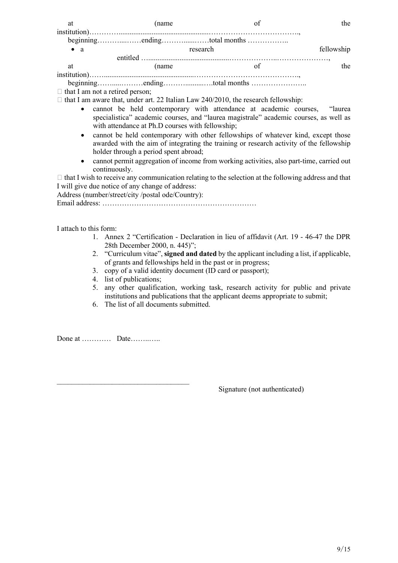| at          | (name    |            | the |
|-------------|----------|------------|-----|
|             |          |            |     |
| $\bullet$ a | research | fellowship |     |
|             |          |            |     |
| at          | (name)   | of         | the |
|             |          |            |     |
|             |          |            |     |

 $\Box$  that I am not a retired person;

 $\Box$  that I am aware that, under art. 22 Italian Law 240/2010, the research fellowship:

- cannot be held contemporary with attendance at academic courses, "laurea specialistica" academic courses, and "laurea magistrale" academic courses, as well as with attendance at Ph.D courses with fellowship;
- cannot be held contemporary with other fellowships of whatever kind, except those awarded with the aim of integrating the training or research activity of the fellowship holder through a period spent abroad;
- cannot permit aggregation of income from working activities, also part-time, carried out continuously.

 $\Box$  that I wish to receive any communication relating to the selection at the following address and that I will give due notice of any change of address:

Address (number/street/city /postal ode/Country):

Email address: ………………………………………………………

I attach to this form:

- 1. Annex 2 "Certification Declaration in lieu of affidavit (Art. 19 46-47 the DPR 28th December 2000, n. 445)";
- 2. "Curriculum vitae", signed and dated by the applicant including a list, if applicable, of grants and fellowships held in the past or in progress;
- 3. copy of a valid identity document (ID card or passport);
- 4. list of publications;

 $\mathcal{L}_\text{max}$ 

- 5. any other qualification, working task, research activity for public and private institutions and publications that the applicant deems appropriate to submit;
- 6. The list of all documents submitted.

Done at ………… Date……..…..

Signature (not authenticated)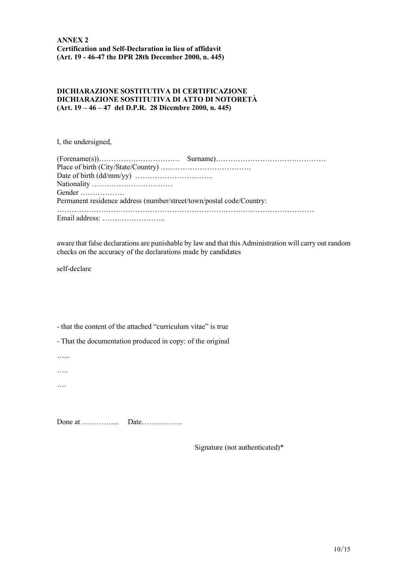## DICHIARAZIONE SOSTITUTIVA DI CERTIFICAZIONE DICHIARAZIONE SOSTITUTIVA DI ATTO DI NOTORETÀ (Art. 19 – 46 – 47 del D.P.R. 28 Dicembre 2000, n. 445)

I, the undersigned,

| Gender                                                               |  |
|----------------------------------------------------------------------|--|
| Permanent residence address (number/street/town/postal code/Country: |  |
|                                                                      |  |
|                                                                      |  |

aware that false declarations are punishable by law and that this Administration will carry out random checks on the accuracy of the declarations made by candidates

self-declare

- that the content of the attached "curriculum vitae" is true

- That the documentation produced in copy: of the original

…...

…..

….

Done at ………….... Date……………..

Signature (not authenticated)\*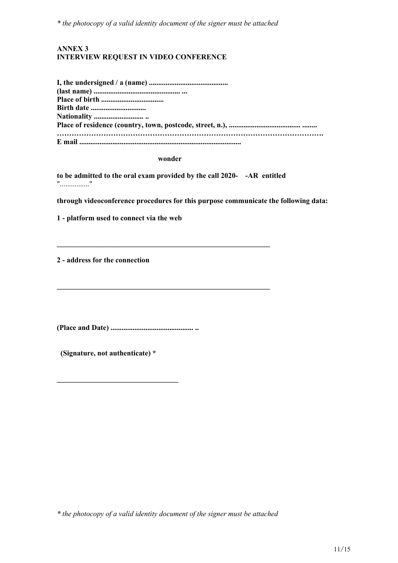\* the photocopy of a valid identity document of the signer must be attached

# ANNEX 3 INTERVIEW REQUEST IN VIDEO CONFERENCE

| <b>Birth date </b> |
|--------------------|
|                    |
|                    |
|                    |
|                    |

#### wonder

to be admitted to the oral exam provided by the call 2020- -AR entitled "................"

\_\_\_\_\_\_\_\_\_\_\_\_\_\_\_\_\_\_\_\_\_\_\_\_\_\_\_\_\_\_\_\_\_\_\_\_\_\_\_\_\_\_\_\_\_\_\_\_\_\_\_\_\_\_\_\_\_\_

 $\mathcal{L}_\text{max}$  and  $\mathcal{L}_\text{max}$  and  $\mathcal{L}_\text{max}$  and  $\mathcal{L}_\text{max}$  and  $\mathcal{L}_\text{max}$  and  $\mathcal{L}_\text{max}$ 

through videoconference procedures for this purpose communicate the following data:

1 - platform used to connect via the web

2 - address for the connection

(Place and Date) ............................................. ..

(Signature, not authenticate) \*

\_\_\_\_\_\_\_\_\_\_\_\_\_\_\_\_\_\_\_\_\_\_\_\_\_\_\_\_\_\_\_\_\_

\* the photocopy of a valid identity document of the signer must be attached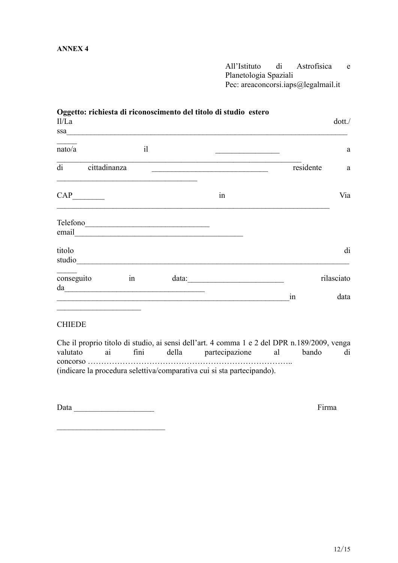# ANNEX 4

All'Istituto di Astrofisica e Planetologia Spaziali Pec: areaconcorsi.iaps@legalmail.it

| Oggetto: richiesta di riconoscimento del titolo di studio estero<br>II/La                                                                                                                                                            |    |                                                                                                               |                                                                                                                         |           | dot.       |
|--------------------------------------------------------------------------------------------------------------------------------------------------------------------------------------------------------------------------------------|----|---------------------------------------------------------------------------------------------------------------|-------------------------------------------------------------------------------------------------------------------------|-----------|------------|
| ssa                                                                                                                                                                                                                                  |    | <u> 1980 - Johann Barbara, martin da basar da basar da basar da basar da basar da basar da basar da basar</u> |                                                                                                                         |           |            |
| nato/a                                                                                                                                                                                                                               | i  |                                                                                                               | <u> 1989 - Johann Barn, mars et al. 1989 - Anna ann an t-Alban ann an t-Alban ann an t-Alban ann an t-Alban ann an </u> |           | a          |
| di<br>cittadinanza                                                                                                                                                                                                                   |    |                                                                                                               | the control of the control of the control of the control of the control of the control of                               | residente | a          |
| <u> 1989 - Johann Johann Harry Harry Harry Harry Harry Harry Harry Harry Harry Harry Harry Harry Harry Harry Harry Harry Harry Harry Harry Harry Harry Harry Harry Harry Harry Harry Harry Harry Harry Harry Harry Harry Harry H</u> |    |                                                                                                               | in                                                                                                                      |           | Via        |
| Telefono                                                                                                                                                                                                                             |    |                                                                                                               |                                                                                                                         |           |            |
| email                                                                                                                                                                                                                                |    | <u> 1989 - Jan Barnett, fransk politiker (d. 1989)</u>                                                        |                                                                                                                         |           |            |
| titolo<br>studio                                                                                                                                                                                                                     |    |                                                                                                               |                                                                                                                         |           | di         |
| conseguito<br>da                                                                                                                                                                                                                     | in |                                                                                                               |                                                                                                                         |           | rilasciato |
|                                                                                                                                                                                                                                      |    |                                                                                                               |                                                                                                                         | 1n        | data       |

# **CHIEDE**

Che il proprio titolo di studio, ai sensi dell'art. 4 comma 1 e 2 del DPR n.189/2009, venga valutato ai fini della partecipazione al bando di concorso ………………………………………………………………….. (indicare la procedura selettiva/comparativa cui si sta partecipando).

Data \_\_\_\_\_\_\_\_\_\_\_\_\_\_\_\_\_\_\_\_ Firma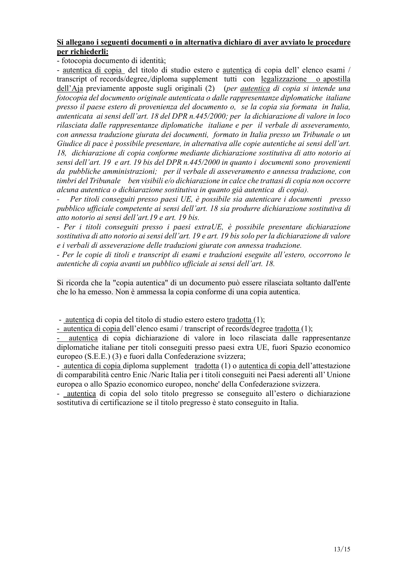# Si allegano i seguenti documenti o in alternativa dichiaro di aver avviato le procedure per richiederli:

- fotocopia documento di identità;

- autentica di copia del titolo di studio estero e autentica di copia dell' elenco esami / transcript of records/degree,/diploma supplement tutti con legalizzazione o apostilla dell'Aja previamente apposte sugli originali (2) (per *autentica di copia si intende una* fotocopia del documento originale autenticata o dalle rappresentanze diplomatiche italiane presso il paese estero di provenienza del documento o, se la copia sia formata in Italia, autenticata ai sensi dell'art. 18 del DPR n.445/2000; per la dichiarazione di valore in loco rilasciata dalle rappresentanze diplomatiche italiane e per il verbale di asseveramento, con annessa traduzione giurata dei documenti, formato in Italia presso un Tribunale o un Giudice di pace è possibile presentare, in alternativa alle copie autentiche ai sensi dell'art. 18, dichiarazione di copia conforme mediante dichiarazione sostitutiva di atto notorio ai sensi dell'art. 19 e art. 19 bis del DPR n.445/2000 in quanto i documenti sono provenienti da pubbliche amministrazioni; per il verbale di asseveramento e annessa traduzione, con timbri del Tribunale ben visibili e/o dichiarazione in calce che trattasi di copia non occorre alcuna autentica o dichiarazione sostitutiva in quanto già autentica di copia).

Per titoli conseguiti presso paesi UE, è possibile sia autenticare i documenti presso pubblico ufficiale competente ai sensi dell'art. 18 sia produrre dichiarazione sostitutiva di atto notorio ai sensi dell'art.19 e art. 19 bis.

- Per i titoli conseguiti presso i paesi extraUE, è possibile presentare dichiarazione sostitutiva di atto notorio ai sensi dell'art. 19 e art. 19 bis solo per la dichiarazione di valore e i verbali di asseverazione delle traduzioni giurate con annessa traduzione.

- Per le copie di titoli e transcript di esami e traduzioni eseguite all'estero, occorrono le autentiche di copia avanti un pubblico ufficiale ai sensi dell'art. 18.

Si ricorda che la "copia autentica" di un documento può essere rilasciata soltanto dall'ente che lo ha emesso. Non è ammessa la copia conforme di una copia autentica.

- autentica di copia del titolo di studio estero estero tradotta (1);

- autentica di copia dell'elenco esami / transcript of records/degree tradotta (1);

- autentica di copia dichiarazione di valore in loco rilasciata dalle rappresentanze diplomatiche italiane per titoli conseguiti presso paesi extra UE, fuori Spazio economico europeo (S.E.E.) (3) e fuori dalla Confederazione svizzera;

- autentica di copia diploma supplement tradotta (1) o autentica di copia dell'attestazione di comparabilità centro Enic /Naric Italia per i titoli conseguiti nei Paesi aderenti all' Unione europea o allo Spazio economico europeo, nonche' della Confederazione svizzera.

- autentica di copia del solo titolo pregresso se conseguito all'estero o dichiarazione sostitutiva di certificazione se il titolo pregresso è stato conseguito in Italia.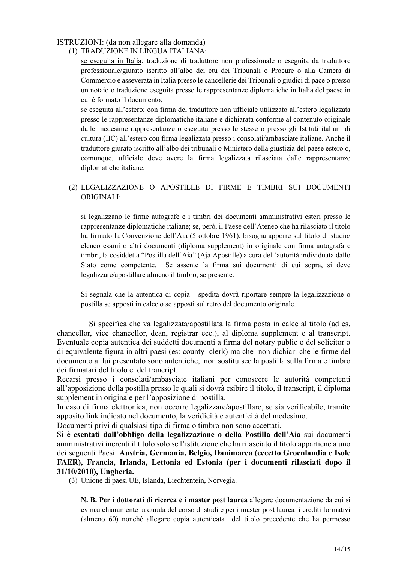# ISTRUZIONI: (da non allegare alla domanda)

(1) TRADUZIONE IN LINGUA ITALIANA:

se eseguita in Italia: traduzione di traduttore non professionale o eseguita da traduttore professionale/giurato iscritto all'albo dei ctu dei Tribunali o Procure o alla Camera di Commercio e asseverata in Italia presso le cancellerie dei Tribunali o giudici di pace o presso un notaio o traduzione eseguita presso le rappresentanze diplomatiche in Italia del paese in cui è formato il documento;

se eseguita all'estero; con firma del traduttore non ufficiale utilizzato all'estero legalizzata presso le rappresentanze diplomatiche italiane e dichiarata conforme al contenuto originale dalle medesime rappresentanze o eseguita presso le stesse o presso gli Istituti italiani di cultura (IIC) all'estero con firma legalizzata presso i consolati/ambasciate italiane. Anche il traduttore giurato iscritto all'albo dei tribunali o Ministero della giustizia del paese estero o, comunque, ufficiale deve avere la firma legalizzata rilasciata dalle rappresentanze diplomatiche italiane.

# (2) LEGALIZZAZIONE O APOSTILLE DI FIRME E TIMBRI SUI DOCUMENTI ORIGINALI:

si legalizzano le firme autografe e i timbri dei documenti amministrativi esteri presso le rappresentanze diplomatiche italiane; se, però, il Paese dell'Ateneo che ha rilasciato il titolo ha firmato la Convenzione dell'Aia (5 ottobre 1961), bisogna apporre sul titolo di studio/ elenco esami o altri documenti (diploma supplement) in originale con firma autografa e timbri, la cosiddetta "Postilla dell'Aia" (Aja Apostille) a cura dell'autorità individuata dallo Stato come competente. Se assente la firma sui documenti di cui sopra, si deve legalizzare/apostillare almeno il timbro, se presente.

Si segnala che la autentica di copia spedita dovrà riportare sempre la legalizzazione o postilla se apposti in calce o se apposti sul retro del documento originale.

 Si specifica che va legalizzata/apostillata la firma posta in calce al titolo (ad es. chancellor, vice chancellor, dean, registrar ecc.), al diploma supplement e al transcript. Eventuale copia autentica dei suddetti documenti a firma del notary public o del solicitor o di equivalente figura in altri paesi (es: county clerk) ma che non dichiari che le firme del documento a lui presentato sono autentiche, non sostituisce la postilla sulla firma e timbro dei firmatari del titolo e del trancript.

Recarsi presso i consolati/ambasciate italiani per conoscere le autorità competenti all'apposizione della postilla presso le quali si dovrà esibire il titolo, il transcript, il diploma supplement in originale per l'apposizione di postilla.

In caso di firma elettronica, non occorre legalizzare/apostillare, se sia verificabile, tramite apposito link indicato nel documento, la veridicità e autenticità del medesimo.

Documenti privi di qualsiasi tipo di firma o timbro non sono accettati.

Si è esentati dall'obbligo della legalizzazione o della Postilla dell'Aia sui documenti amministrativi inerenti il titolo solo se l'istituzione che ha rilasciato il titolo appartiene a uno dei seguenti Paesi: Austria, Germania, Belgio, Danimarca (eccetto Groenlandia e Isole FAER), Francia, Irlanda, Lettonia ed Estonia (per i documenti rilasciati dopo il 31/10/2010), Ungheria.

(3) Unione di paesi UE, Islanda, Liechtentein, Norvegia.

N. B. Per i dottorati di ricerca e i master post laurea allegare documentazione da cui si evinca chiaramente la durata del corso di studi e per i master post laurea i crediti formativi (almeno 60) nonché allegare copia autenticata del titolo precedente che ha permesso